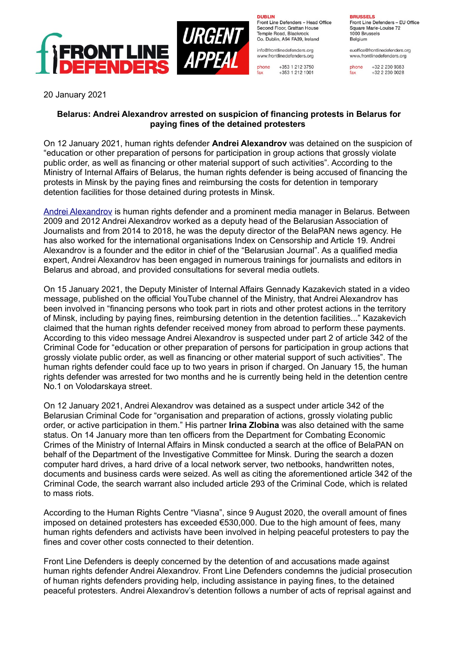

**DURLIN** 

fax

Front Line Defenders - Head Office Second Floor, Grattan House Temple Boad, Blackrock Co. Dublin, A94 FA39, Ireland

info@frontlinedefenders.org www.frontlinedefenders.org

+353 1 212 3750 phone +353 1 212 1001 **BDHCCELC** Front Line Defenders - EU Office

Square Marie-Louise 72 1000 Brussels Belgium

euoffice@frontlinedefenders.org www.frontlinedefenders.org

+32 2 230 9383 fax +32 2 230 0028

20 January 2021

## **Belarus: Andrei Alexandrov arrested on suspicion of financing protests in Belarus for paying fines of the detained protesters**

On 12 January 2021, human rights defender **Andrei Alexandrov** was detained on the suspicion of "education or other preparation of persons for participation in group actions that grossly violate public order, as well as financing or other material support of such activities". According to the Ministry of Internal Affairs of Belarus, the human rights defender is being accused of financing the protests in Minsk by the paying fines and reimbursing the costs for detention in temporary detention facilities for those detained during protests in Minsk.

[Andrei Alexandrov](https://www.frontlinedefenders.org/en/profile/andrei-alexandrov) is human rights defender and a prominent media manager in Belarus. Between 2009 and 2012 Andrei Alexandrov worked as a deputy head of the Belarusian Association of Journalists and from 2014 to 2018, he was the deputy director of the BelaPAN news agency. He has also worked for the international organisations Index on Censorship and Article 19. Andrei Alexandrov is a founder and the editor in chief of the "Belarusian Journal". As a qualified media expert, Andrei Alexandrov has been engaged in numerous trainings for journalists and editors in Belarus and abroad, and provided consultations for several media outlets.

On 15 January 2021, the Deputy Minister of Internal Affairs Gennady Kazakevich stated in a video message, published on the official YouTube channel of the Ministry, that Andrei Alexandrov has been involved in "financing persons who took part in riots and other protest actions in the territory of Minsk, including by paying fines, reimbursing detention in the detention facilities..." Kazakevich claimed that the human rights defender received money from abroad to perform these payments. According to this video message Andrei Alexandrov is suspected under part 2 of article 342 of the Criminal Code for "education or other preparation of persons for participation in group actions that grossly violate public order, as well as financing or other material support of such activities". The human rights defender could face up to two years in prison if charged. On January 15, the human rights defender was arrested for two months and he is currently being held in the detention centre No.1 on Volodarskaya street.

On 12 January 2021, Andrei Alexandrov was detained as a suspect under article 342 of the Belarusian Criminal Code for "organisation and preparation of actions, grossly violating public order, or active participation in them." His partner **Irina Zlobina** was also detained with the same status. On 14 January more than ten officers from the Department for Combating Economic Crimes of the Ministry of Internal Affairs in Minsk conducted a search at the office of BelaPAN on behalf of the Department of the Investigative Committee for Minsk. During the search a dozen computer hard drives, a hard drive of a local network server, two netbooks, handwritten notes, documents and business cards were seized. As well as citing the aforementioned article 342 of the Criminal Code, the search warrant also included article 293 of the Criminal Code, which is related to mass riots.

According to the Human Rights Centre "Viasna", since 9 August 2020, the overall amount of fines imposed on detained protesters has exceeded €530,000. Due to the high amount of fees, many human rights defenders and activists have been involved in helping peaceful protesters to pay the fines and cover other costs connected to their detention.

Front Line Defenders is deeply concerned by the detention of and accusations made against human rights defender Andrei Alexandrov. Front Line Defenders condemns the judicial prosecution of human rights defenders providing help, including assistance in paying fines, to the detained peaceful protesters. Andrei Alexandrov's detention follows a number of acts of reprisal against and